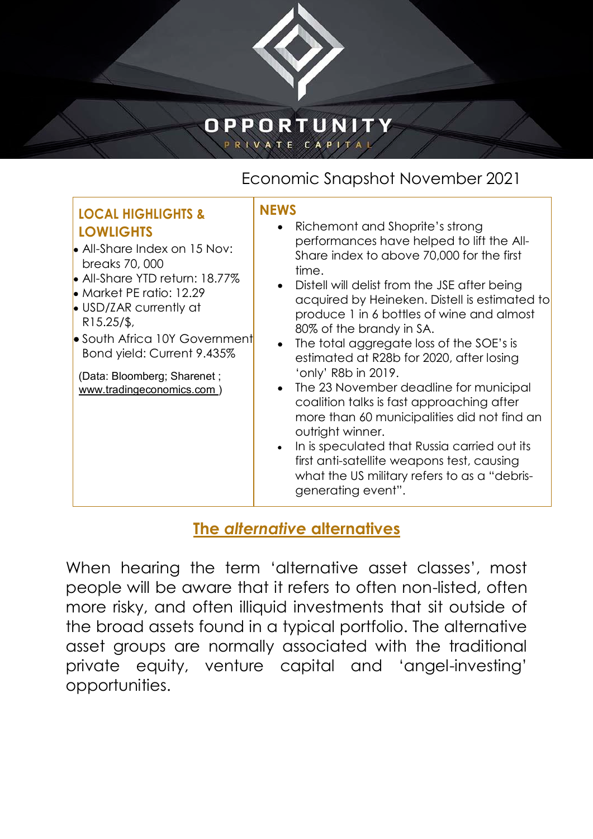

## OPPORTUNITY **PRIVATE CAPIT**

# Economic Snapshot November 2021

### **LOCAL HIGHLIGHTS & LOWLIGHTS**

- All-Share Index on 15 Nov: breaks 70, 000
- **All-Share YTD return: 18.77%**
- **Market PE ratio: 12.29**
- **USD/ZAR currently at** R15.25/\$,
- **•** South Africa 10Y Government Bond yield: Current 9.435%

(Data: Bloomberg; Sharenet ; [www.tradingeconomics.com \)](http://www.tradingeconomics.com/)

#### **NEWS**

- Richemont and Shoprite's strong performances have helped to lift the All-Share index to above 70,000 for the first time.
- Distell will delist from the JSE after being acquired by Heineken. Distell is estimated to produce 1 in 6 bottles of wine and almost 80% of the brandy in SA.
- The total aggregate loss of the SOE's is estimated at R28b for 2020, after losing 'only' R8b in 2019.
- The 23 November deadline for municipal coalition talks is fast approaching after more than 60 municipalities did not find an outright winner.
- In is speculated that Russia carried out its first anti-satellite weapons test, causing what the US military refers to as a "debrisgenerating event".

## **The** *alternative* **alternatives**

When hearing the term 'alternative asset classes', most people will be aware that it refers to often non-listed, often more risky, and often illiquid investments that sit outside of the broad assets found in a typical portfolio. The alternative asset groups are normally associated with the traditional private equity, venture capital and 'angel-investing' opportunities.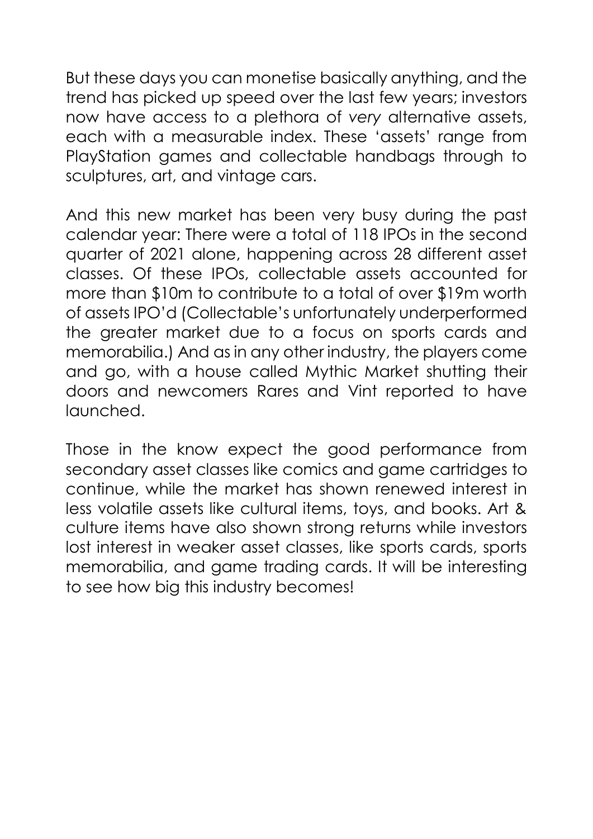But these days you can monetise basically anything, and the trend has picked up speed over the last few years; investors now have access to a plethora of *very* alternative assets, each with a measurable index. These 'assets' range from PlayStation games and collectable handbags through to sculptures, art, and vintage cars.

And this new market has been very busy during the past calendar year: There were a total of 118 IPOs in the second quarter of 2021 alone, happening across 28 different asset classes. Of these IPOs, collectable assets accounted for more than \$10m to contribute to a total of over \$19m worth of assets IPO'd (Collectable's unfortunately underperformed the greater market due to a focus on sports cards and memorabilia.) And as in any other industry, the players come and go, with a house called Mythic Market shutting their doors and newcomers Rares and Vint reported to have launched.

Those in the know expect the good performance from secondary asset classes like comics and game cartridges to continue, while the market has shown renewed interest in less volatile assets like cultural items, toys, and books. Art & culture items have also shown strong returns while investors lost interest in weaker asset classes, like sports cards, sports memorabilia, and game trading cards. It will be interesting to see how big this industry becomes!